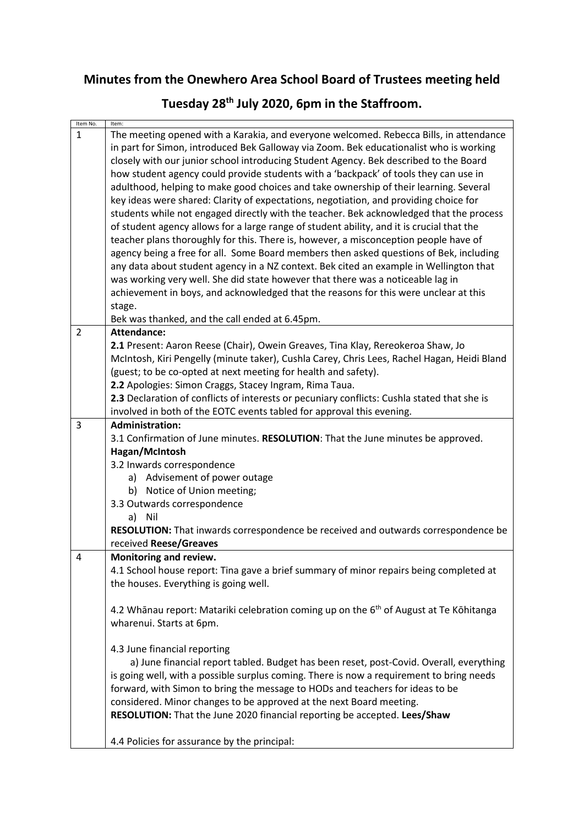## **Minutes from the Onewhero Area School Board of Trustees meeting held**

# **Tuesday 28th July 2020, 6pm in the Staffroom.**

| Item No.       | Item:                                                                                                                                                                                                                                                                                                                                                                                                                                                                                                                                                                                                                                                                                                                                                                                                                                                                                                                                                                                                                                                                                                                                                                                                                                                          |
|----------------|----------------------------------------------------------------------------------------------------------------------------------------------------------------------------------------------------------------------------------------------------------------------------------------------------------------------------------------------------------------------------------------------------------------------------------------------------------------------------------------------------------------------------------------------------------------------------------------------------------------------------------------------------------------------------------------------------------------------------------------------------------------------------------------------------------------------------------------------------------------------------------------------------------------------------------------------------------------------------------------------------------------------------------------------------------------------------------------------------------------------------------------------------------------------------------------------------------------------------------------------------------------|
| $\mathbf{1}$   | The meeting opened with a Karakia, and everyone welcomed. Rebecca Bills, in attendance<br>in part for Simon, introduced Bek Galloway via Zoom. Bek educationalist who is working<br>closely with our junior school introducing Student Agency. Bek described to the Board<br>how student agency could provide students with a 'backpack' of tools they can use in<br>adulthood, helping to make good choices and take ownership of their learning. Several<br>key ideas were shared: Clarity of expectations, negotiation, and providing choice for<br>students while not engaged directly with the teacher. Bek acknowledged that the process<br>of student agency allows for a large range of student ability, and it is crucial that the<br>teacher plans thoroughly for this. There is, however, a misconception people have of<br>agency being a free for all. Some Board members then asked questions of Bek, including<br>any data about student agency in a NZ context. Bek cited an example in Wellington that<br>was working very well. She did state however that there was a noticeable lag in<br>achievement in boys, and acknowledged that the reasons for this were unclear at this<br>stage.<br>Bek was thanked, and the call ended at 6.45pm. |
| $\overline{2}$ | Attendance:                                                                                                                                                                                                                                                                                                                                                                                                                                                                                                                                                                                                                                                                                                                                                                                                                                                                                                                                                                                                                                                                                                                                                                                                                                                    |
|                | 2.1 Present: Aaron Reese (Chair), Owein Greaves, Tina Klay, Rereokeroa Shaw, Jo<br>McIntosh, Kiri Pengelly (minute taker), Cushla Carey, Chris Lees, Rachel Hagan, Heidi Bland<br>(guest; to be co-opted at next meeting for health and safety).<br>2.2 Apologies: Simon Craggs, Stacey Ingram, Rima Taua.<br>2.3 Declaration of conflicts of interests or pecuniary conflicts: Cushla stated that she is<br>involved in both of the EOTC events tabled for approval this evening.                                                                                                                                                                                                                                                                                                                                                                                                                                                                                                                                                                                                                                                                                                                                                                             |
| 3              | <b>Administration:</b>                                                                                                                                                                                                                                                                                                                                                                                                                                                                                                                                                                                                                                                                                                                                                                                                                                                                                                                                                                                                                                                                                                                                                                                                                                         |
| 4              | 3.1 Confirmation of June minutes. RESOLUTION: That the June minutes be approved.<br>Hagan/McIntosh<br>3.2 Inwards correspondence<br>a) Advisement of power outage<br>b) Notice of Union meeting;<br>3.3 Outwards correspondence<br>a) Nil<br><b>RESOLUTION:</b> That inwards correspondence be received and outwards correspondence be<br>received Reese/Greaves<br>Monitoring and review.                                                                                                                                                                                                                                                                                                                                                                                                                                                                                                                                                                                                                                                                                                                                                                                                                                                                     |
|                | 4.1 School house report: Tina gave a brief summary of minor repairs being completed at<br>the houses. Everything is going well.                                                                                                                                                                                                                                                                                                                                                                                                                                                                                                                                                                                                                                                                                                                                                                                                                                                                                                                                                                                                                                                                                                                                |
|                | 4.2 Whānau report: Matariki celebration coming up on the 6 <sup>th</sup> of August at Te Kōhitanga<br>wharenui. Starts at 6pm.                                                                                                                                                                                                                                                                                                                                                                                                                                                                                                                                                                                                                                                                                                                                                                                                                                                                                                                                                                                                                                                                                                                                 |
|                | 4.3 June financial reporting<br>a) June financial report tabled. Budget has been reset, post-Covid. Overall, everything<br>is going well, with a possible surplus coming. There is now a requirement to bring needs<br>forward, with Simon to bring the message to HODs and teachers for ideas to be<br>considered. Minor changes to be approved at the next Board meeting.<br>RESOLUTION: That the June 2020 financial reporting be accepted. Lees/Shaw                                                                                                                                                                                                                                                                                                                                                                                                                                                                                                                                                                                                                                                                                                                                                                                                       |
|                | 4.4 Policies for assurance by the principal:                                                                                                                                                                                                                                                                                                                                                                                                                                                                                                                                                                                                                                                                                                                                                                                                                                                                                                                                                                                                                                                                                                                                                                                                                   |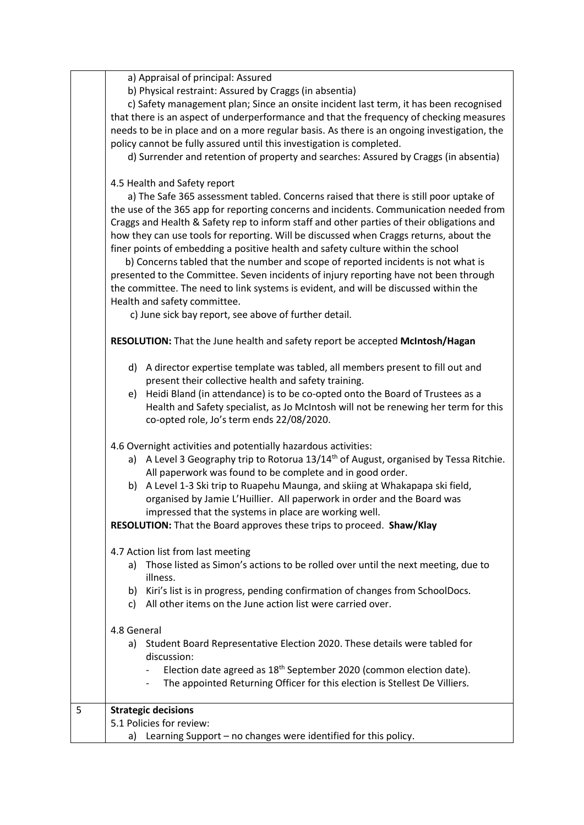a) Appraisal of principal: Assured

b) Physical restraint: Assured by Craggs (in absentia)

 c) Safety management plan; Since an onsite incident last term, it has been recognised that there is an aspect of underperformance and that the frequency of checking measures needs to be in place and on a more regular basis. As there is an ongoing investigation, the policy cannot be fully assured until this investigation is completed.

d) Surrender and retention of property and searches: Assured by Craggs (in absentia)

### 4.5 Health and Safety report

 a) The Safe 365 assessment tabled. Concerns raised that there is still poor uptake of the use of the 365 app for reporting concerns and incidents. Communication needed from Craggs and Health & Safety rep to inform staff and other parties of their obligations and how they can use tools for reporting. Will be discussed when Craggs returns, about the finer points of embedding a positive health and safety culture within the school

 b) Concerns tabled that the number and scope of reported incidents is not what is presented to the Committee. Seven incidents of injury reporting have not been through the committee. The need to link systems is evident, and will be discussed within the Health and safety committee.

c) June sick bay report, see above of further detail.

**RESOLUTION:** That the June health and safety report be accepted **McIntosh/Hagan**

- d) A director expertise template was tabled, all members present to fill out and present their collective health and safety training.
- e) Heidi Bland (in attendance) is to be co-opted onto the Board of Trustees as a Health and Safety specialist, as Jo McIntosh will not be renewing her term for this co-opted role, Jo's term ends 22/08/2020.

4.6 Overnight activities and potentially hazardous activities:

- a) A Level 3 Geography trip to Rotorua  $13/14<sup>th</sup>$  of August, organised by Tessa Ritchie. All paperwork was found to be complete and in good order.
- b) A Level 1-3 Ski trip to Ruapehu Maunga, and skiing at Whakapapa ski field, organised by Jamie L'Huillier. All paperwork in order and the Board was impressed that the systems in place are working well.

**RESOLUTION:** That the Board approves these trips to proceed. **Shaw/Klay**

#### 4.7 Action list from last meeting

- a) Those listed as Simon's actions to be rolled over until the next meeting, due to illness.
- b) Kiri's list is in progress, pending confirmation of changes from SchoolDocs.
- c) All other items on the June action list were carried over.

#### 4.8 General

| a) Student Board Representative Election 2020. These details were tabled for |  |  |  |  |
|------------------------------------------------------------------------------|--|--|--|--|
| discussion:                                                                  |  |  |  |  |

- Election date agreed as  $18<sup>th</sup>$  September 2020 (common election date).
- The appointed Returning Officer for this election is Stellest De Villiers.

| <b>Strategic decisions</b>                                     |
|----------------------------------------------------------------|
| 5.1 Policies for review:                                       |
| Learning Support – no changes were identified for this policy. |